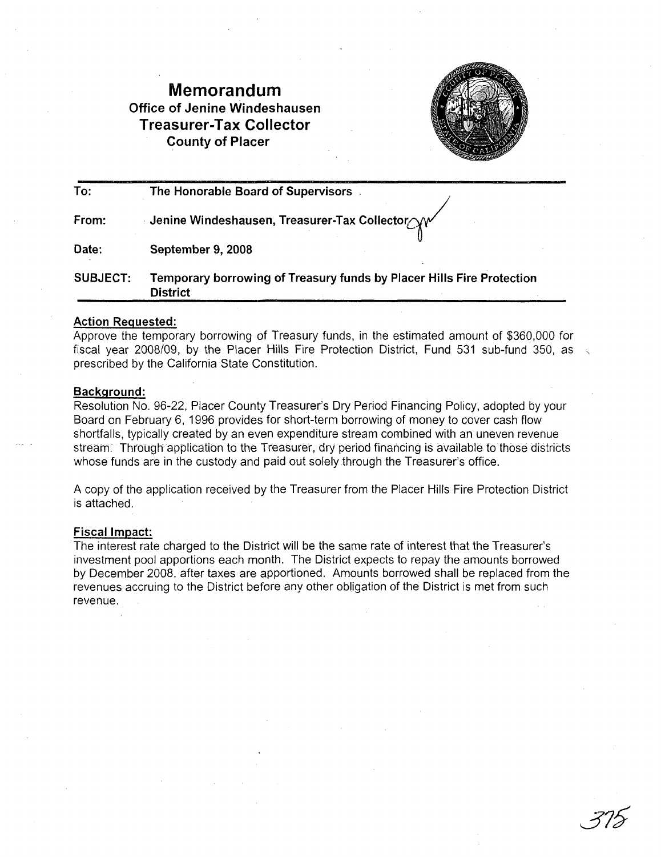# **Memorandum Office of Jenine Windeshausen Treasurer-Tax Collector County of Placer**



| To:             | The Honorable Board of Supervisors                                                       |
|-----------------|------------------------------------------------------------------------------------------|
| From:           | ∴ Jenine Windeshausen, Treasurer-Tax Collector AV                                        |
| Date:           | September 9, 2008                                                                        |
| <b>SUBJECT:</b> | Temporary borrowing of Treasury funds by Placer Hills Fire Protection<br><b>District</b> |

#### **Action Requested:**

Approve the temporary borrowing of Treasury funds, in the estimated amount of \$360,000 for fiscal year *2008/09,* by the Placer Hills Fire Protection District, Fund 531 sub-fund 350, as \. prescribed by the California State Constitution.

#### **Background:**

Resolution No. 96-22, Placer County Treasurer's Dry Period Financing Policy, adopted by your Board on February 6, 1996 provides for short-term borrowing of money to cover cash flow shortfalls, typically created by an even expenditure stream combined with an uneven revenue stream. Through application to the Treasurer, dry period financing is available to those districts whose funds are in the custody and paid out solely through the Treasurer's office.

A copy of the application received by the Treasurer from the Placer Hills Fire Protection District is attached.

#### **Fiscal Impact:**

The interest rate charged to the District will be the same rate of interest that the Treasurer's investment pool apportions each month. The District expects to repay the amounts borrowed by December 2008, after taxes are apportioned. Amounts borrowed shall be replaced from the revenues accruing to the District before any other obligation of the District is met from such revenue.

375